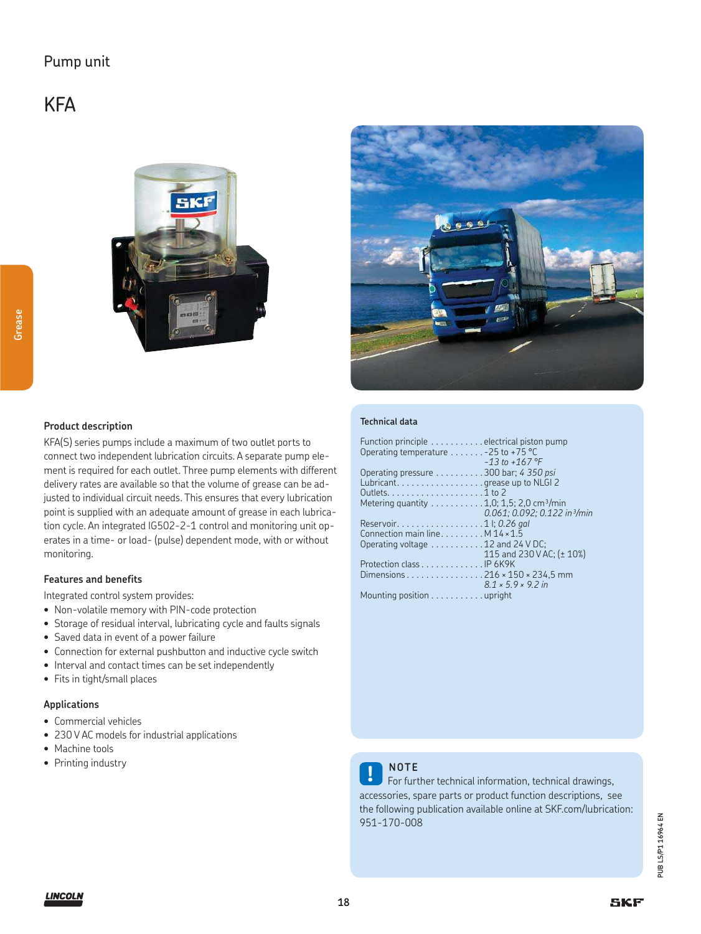### Pump unit

## **KFA**

**Grease**





### **Product description**

KFA(S) series pumps include a maximum of two outlet ports to connect two independent lubrication circuits. A separate pump element is required for each outlet. Three pump elements with different delivery rates are available so that the volume of grease can be adjusted to individual circuit needs. This ensures that every lubrication point is supplied with an adequate amount of grease in each lubrication cycle. An integrated IG502-2-1 control and monitoring unit operates in a time- or load- (pulse) dependent mode, with or without monitoring.

#### **Features and benefits**

Integrated control system provides:

- Non-volatile memory with PIN-code protection
- Storage of residual interval, lubricating cycle and faults signals
- Saved data in event of a power failure
- Connection for external pushbutton and inductive cycle switch
- Interval and contact times can be set independently
- Fits in tight/small places

### **Applications**

- Commercial vehicles
- 230 V AC models for industrial applications
- Machine tools
- Printing industry

#### **Technical data**

| Function principle electrical piston pump                                |                                          |
|--------------------------------------------------------------------------|------------------------------------------|
| Operating temperature - 25 to +75 °C                                     |                                          |
|                                                                          | $-13$ to $+167$ °F                       |
| Operating pressure 300 bar; 4 350 psi                                    |                                          |
| Lubricant. grease up to NLGI 2                                           |                                          |
| Outlets. $\dots \dots \dots \dots \dots \dots 1$ to 2                    |                                          |
| Metering quantity $\dots \dots \dots 1,0; 1,5; 2,0$ cm <sup>3</sup> /min |                                          |
|                                                                          | $0.061: 0.092: 0.122$ in $\frac{3}{min}$ |
| Reservoir. 1 l; 0.26 gal                                                 |                                          |
| Connection main line. M 14 × 1.5                                         |                                          |
| Operating voltage 12 and 24 V DC;                                        |                                          |
|                                                                          | 115 and 230 V AC; (± 10%)                |
| Protection class IP 6K9K                                                 |                                          |
| Dimensions 216 x 150 x 234,5 mm                                          |                                          |
|                                                                          | $8.1 \times 5.9 \times 9.2$ in           |
| Mounting position upright                                                |                                          |



### **NOTE**

For further technical information, technical drawings, accessories, spare parts or product function descriptions, see the following publication available online at SKF.com/lubrication: 951-170-008